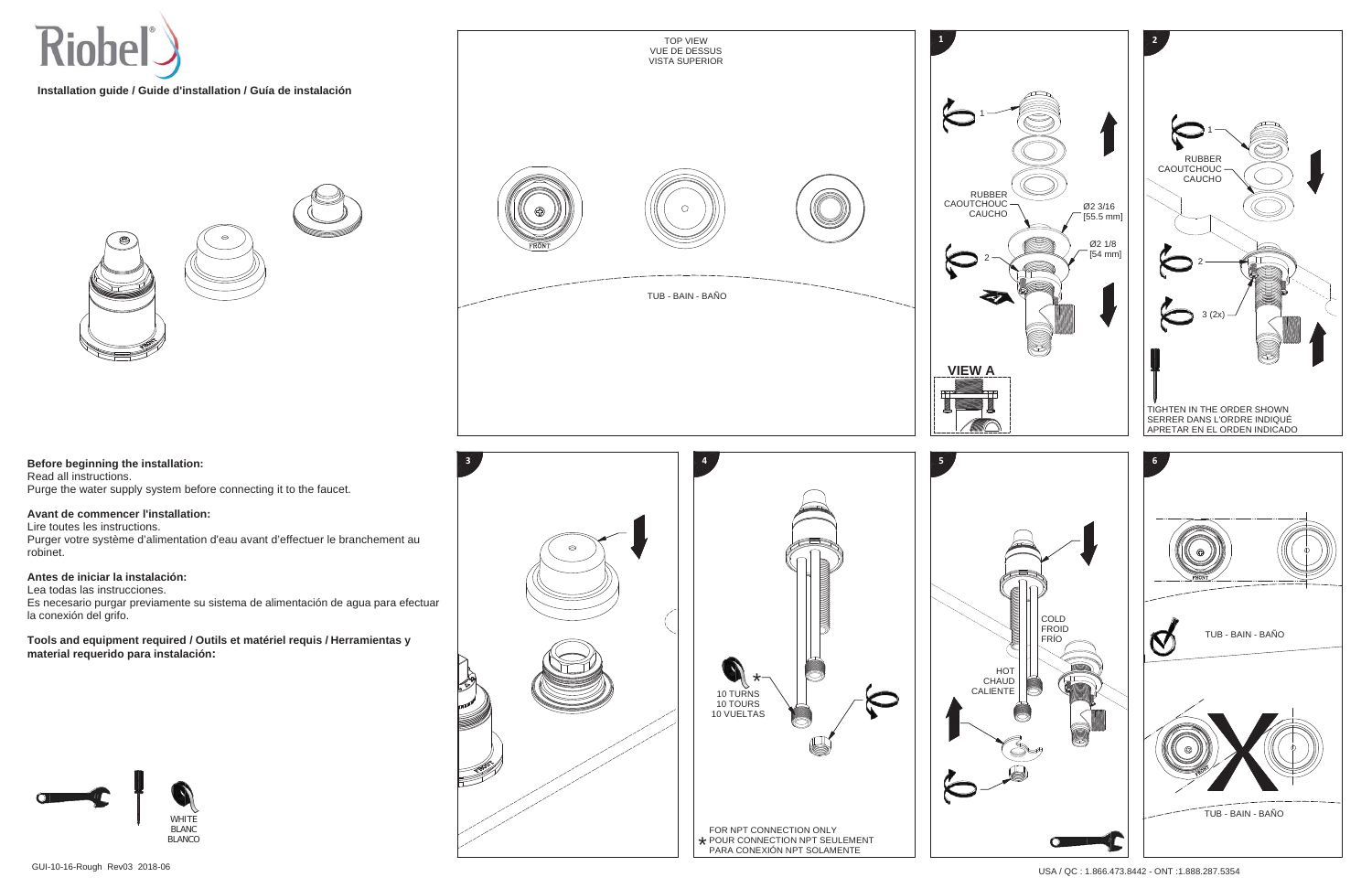

**Installation guide / Guide d'installation / Guía de instalación**



**Before beginning the installation:**  Read all instructions. Purge the water supply system before connecting it to the faucet.

## **Avant de commencer l'installation:**

Lire toutes les instructions.

Purger votre système d'alimentation d'eau avant d'effectuer le branchement au robinet.

## **Antes de iniciar la instalación:**

Lea todas las instrucciones.

Es necesario purgar previamente su sistema de alimentación de agua para efectuar la conexión del grifo.

**Tools and equipment required / Outils et matériel requis / Herramientas y material requerido para instalación:**









2